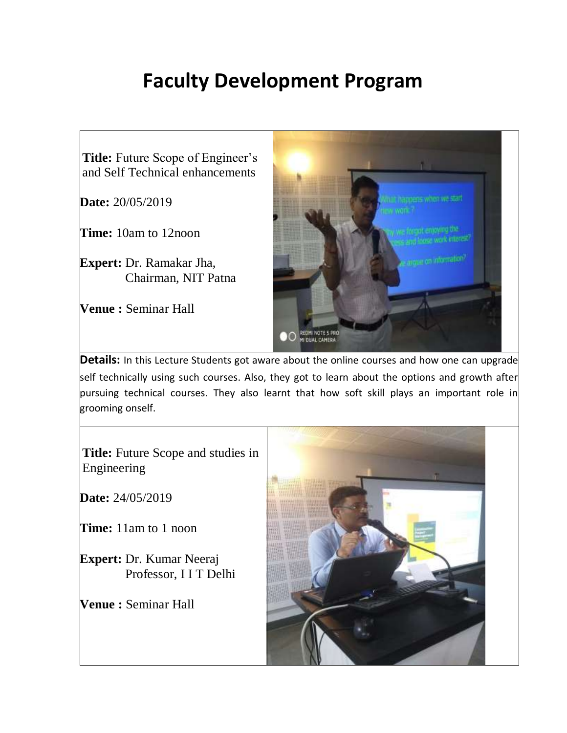## **Faculty Development Program**



**Details:** In this Lecture Students got aware about the online courses and how one can upgrade self technically using such courses. Also, they got to learn about the options and growth after pursuing technical courses. They also learnt that how soft skill plays an important role in grooming onself.

**Title:** Future Scope and studies in Engineering

**Date:** 24/05/2019

**Time:** 11am to 1 noon

**Expert:** Dr. Kumar Neeraj Professor, I I T Delhi

**Venue :** Seminar Hall

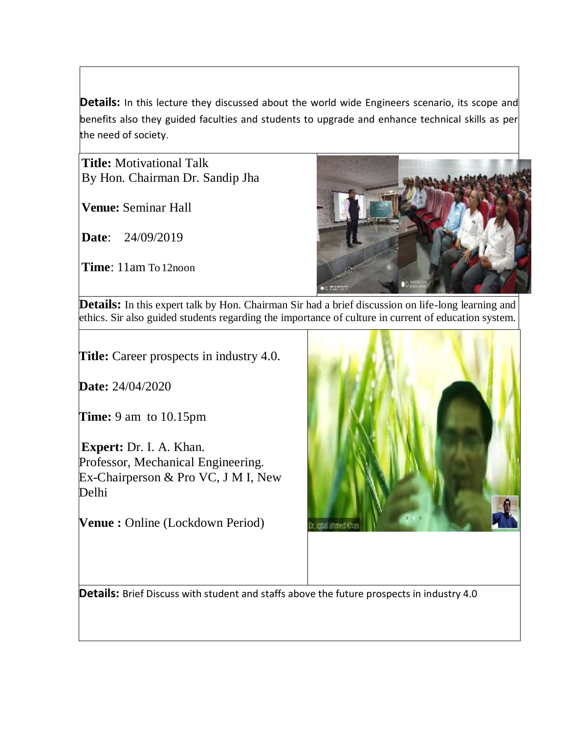**Details:** In this lecture they discussed about the world wide Engineers scenario, its scope and benefits also they guided faculties and students to upgrade and enhance technical skills as per the need of society.

**Title:** Motivational Talk By Hon. Chairman Dr. Sandip Jha

**Venue:** Seminar Hall

**Date**: 24/09/2019

**Time**: 11am To12noon



Details: In this expert talk by Hon. Chairman Sir had a brief discussion on life-long learning and ethics. Sir also guided students regarding the importance of culture in current of education system.

**Title:** Career prospects in industry 4.0.

**Date:** 24/04/2020

**Time:** 9 am to 10.15pm

**Expert:** Dr. I. A. Khan. Professor, Mechanical Engineering. Ex-Chairperson & Pro VC, J M I, New Delhi

**Venue :** Online (Lockdown Period)



**Details:** Brief Discuss with student and staffs above the future prospects in industry 4.0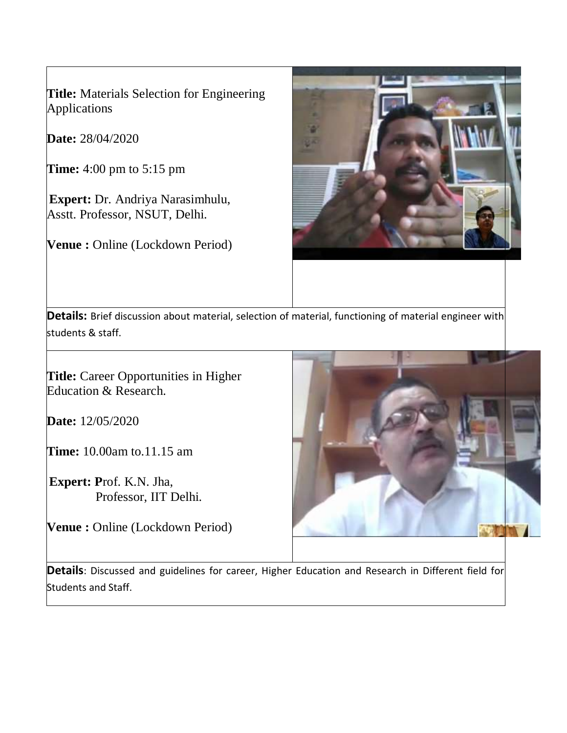**Title:** Materials Selection for Engineering Applications

**Date:** 28/04/2020

**Time:** 4:00 pm to 5:15 pm

**Expert:** Dr. Andriya Narasimhulu, Asstt. Professor, NSUT, Delhi.

**Venue :** Online (Lockdown Period)



**Details:** Brief discussion about material, selection of material, functioning of material engineer with students & staff.

**Title:** Career Opportunities in Higher Education & Research.

**Date:** 12/05/2020

**Time:** 10.00am to.11.15 am

**Expert: P**rof. K.N. Jha, Professor, IIT Delhi.

**Venue :** Online (Lockdown Period)



**Details**: Discussed and guidelines for career, Higher Education and Research in Different field for Students and Staff.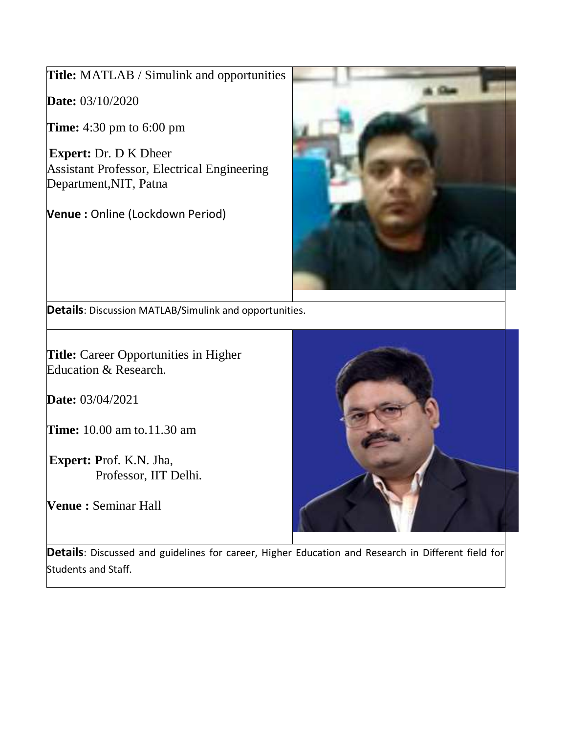**Title:** MATLAB / Simulink and opportunities

**Date:** 03/10/2020

**Time:** 4:30 pm to 6:00 pm

**Expert:** Dr. D K Dheer Assistant Professor, Electrical Engineering Department,NIT, Patna

**Venue :** Online (Lockdown Period)



**Details**: Discussion MATLAB/Simulink and opportunities.

**Title:** Career Opportunities in Higher Education & Research.

**Date:** 03/04/2021

**Time:** 10.00 am to.11.30 am

**Expert: P**rof. K.N. Jha, Professor, IIT Delhi.

**Venue :** Seminar Hall



**Details**: Discussed and guidelines for career, Higher Education and Research in Different field for Students and Staff.